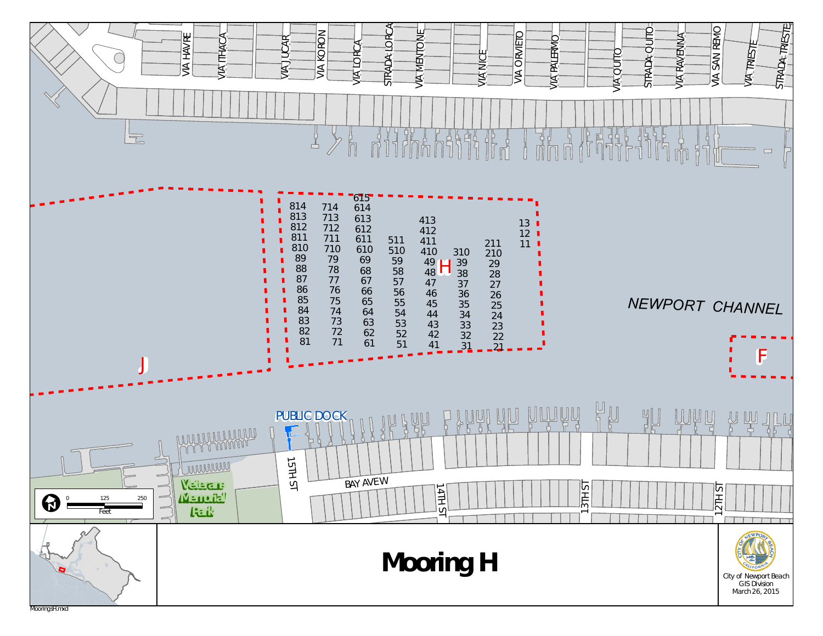